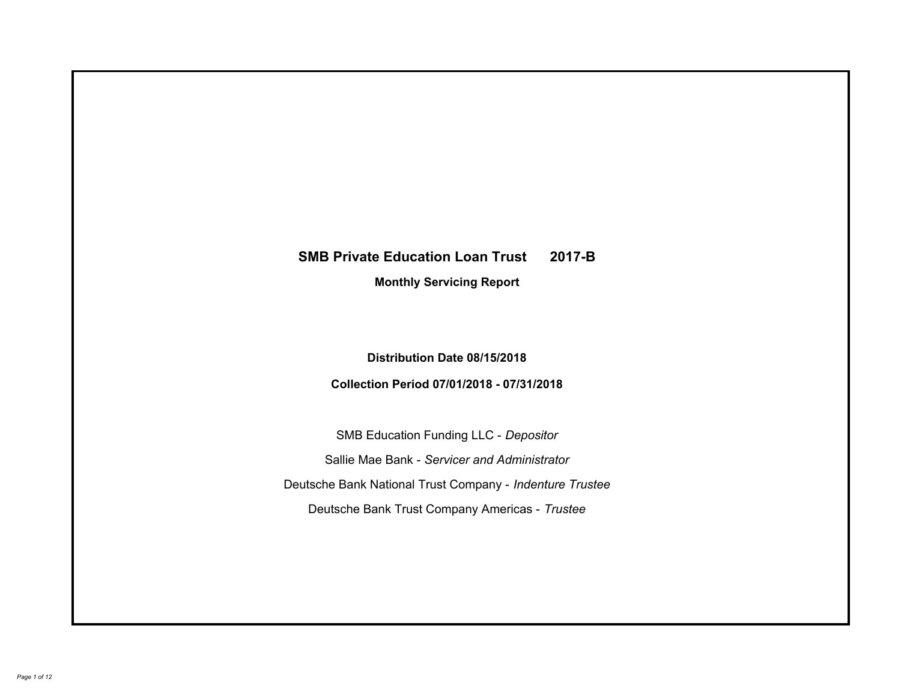# **SMB Private Education Loan Trust 2017-B Monthly Servicing Report**

## **Distribution Date 08/15/2018**

## **Collection Period 07/01/2018 - 07/31/2018**

SMB Education Funding LLC - *Depositor* Sallie Mae Bank - *Servicer and Administrator* Deutsche Bank National Trust Company - *Indenture Trustee* Deutsche Bank Trust Company Americas - *Trustee*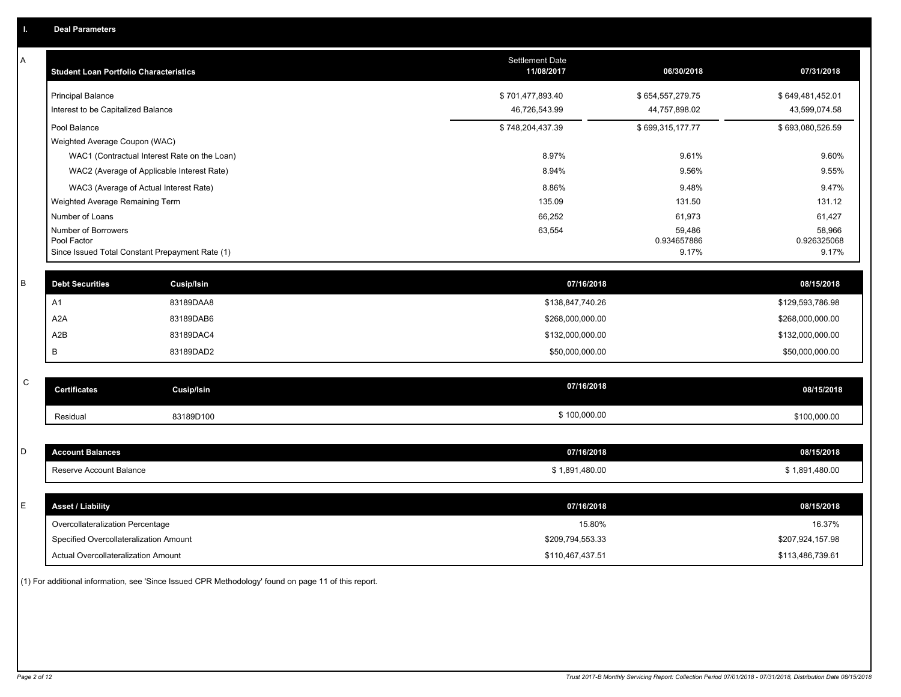| Α           | <b>Student Loan Portfolio Characteristics</b>                  |                   | Settlement Date<br>11/08/2017 | 06/30/2018           | 07/31/2018           |
|-------------|----------------------------------------------------------------|-------------------|-------------------------------|----------------------|----------------------|
|             | <b>Principal Balance</b>                                       |                   | \$701,477,893.40              | \$654,557,279.75     | \$649,481,452.01     |
|             | Interest to be Capitalized Balance                             |                   | 46,726,543.99                 | 44,757,898.02        | 43,599,074.58        |
|             | Pool Balance                                                   |                   | \$748,204,437.39              | \$699,315,177.77     | \$693,080,526.59     |
|             | Weighted Average Coupon (WAC)                                  |                   |                               |                      |                      |
|             | WAC1 (Contractual Interest Rate on the Loan)                   |                   | 8.97%                         | 9.61%                | 9.60%                |
|             | WAC2 (Average of Applicable Interest Rate)                     |                   | 8.94%                         | 9.56%                | 9.55%                |
|             | WAC3 (Average of Actual Interest Rate)                         |                   | 8.86%                         | 9.48%                | 9.47%                |
|             | Weighted Average Remaining Term                                |                   | 135.09                        | 131.50               | 131.12               |
|             | Number of Loans                                                |                   | 66,252                        | 61,973               | 61,427               |
|             | Number of Borrowers                                            |                   | 63,554                        | 59,486               | 58,966               |
|             | Pool Factor<br>Since Issued Total Constant Prepayment Rate (1) |                   |                               | 0.934657886<br>9.17% | 0.926325068<br>9.17% |
|             |                                                                |                   |                               |                      |                      |
| В           | <b>Debt Securities</b>                                         | Cusip/Isin        | 07/16/2018                    |                      | 08/15/2018           |
|             | A <sub>1</sub>                                                 | 83189DAA8         | \$138,847,740.26              |                      | \$129,593,786.98     |
|             | A <sub>2</sub> A                                               | 83189DAB6         | \$268,000,000.00              |                      | \$268,000,000.00     |
|             | A <sub>2</sub> B                                               | 83189DAC4         | \$132,000,000.00              |                      | \$132,000,000.00     |
|             | B                                                              | 83189DAD2         | \$50,000,000.00               |                      | \$50,000,000.00      |
|             |                                                                |                   |                               |                      |                      |
| $\mathbf C$ | <b>Certificates</b>                                            | <b>Cusip/Isin</b> | 07/16/2018                    |                      | 08/15/2018           |
|             | Residual                                                       | 83189D100         | \$100,000.00                  |                      | \$100,000.00         |
|             |                                                                |                   |                               |                      |                      |
| D           | <b>Account Balances</b>                                        |                   | 07/16/2018                    |                      | 08/15/2018           |
|             | Reserve Account Balance                                        |                   | \$1,891,480.00                |                      | \$1,891,480.00       |
|             |                                                                |                   |                               |                      |                      |
| E           | <b>Asset / Liability</b>                                       |                   | 07/16/2018                    |                      | 08/15/2018           |
|             | Overcollateralization Percentage                               |                   | 15.80%                        |                      | 16.37%               |
|             | Specified Overcollateralization Amount                         |                   | \$209,794,553.33              |                      | \$207,924,157.98     |
|             |                                                                |                   |                               |                      |                      |
|             | <b>Actual Overcollateralization Amount</b>                     |                   | \$110,467,437.51              |                      | \$113,486,739.61     |

(1) For additional information, see 'Since Issued CPR Methodology' found on page 11 of this report.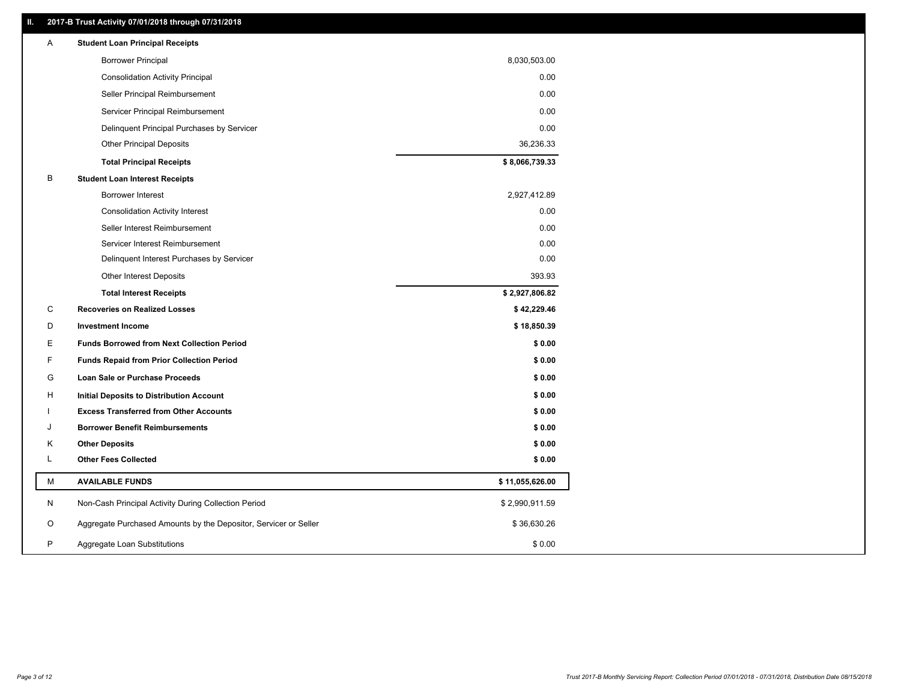### **II. 2017-B Trust Activity 07/01/2018 through 07/31/2018**

| <b>Borrower Principal</b><br>8,030,503.00<br>0.00<br><b>Consolidation Activity Principal</b><br>0.00<br>Seller Principal Reimbursement<br>0.00<br>Servicer Principal Reimbursement<br>Delinquent Principal Purchases by Servicer<br>0.00<br>36,236.33<br><b>Other Principal Deposits</b><br>\$8,066,739.33<br><b>Total Principal Receipts</b><br>B<br><b>Student Loan Interest Receipts</b><br>Borrower Interest<br>2,927,412.89<br>0.00<br><b>Consolidation Activity Interest</b><br>0.00<br>Seller Interest Reimbursement<br>Servicer Interest Reimbursement<br>0.00<br>0.00<br>Delinquent Interest Purchases by Servicer<br><b>Other Interest Deposits</b><br>393.93<br><b>Total Interest Receipts</b><br>\$2,927,806.82<br>C<br><b>Recoveries on Realized Losses</b><br>\$42,229.46<br>D<br><b>Investment Income</b><br>\$18,850.39<br>Е<br><b>Funds Borrowed from Next Collection Period</b><br>\$0.00<br>F<br>\$0.00<br><b>Funds Repaid from Prior Collection Period</b><br>G<br>\$0.00<br>Loan Sale or Purchase Proceeds<br>\$0.00<br>н<br>Initial Deposits to Distribution Account<br>\$0.00<br><b>Excess Transferred from Other Accounts</b><br><b>Borrower Benefit Reimbursements</b><br>\$0.00<br>J<br><b>Other Deposits</b><br>\$0.00<br>Κ<br>L<br><b>Other Fees Collected</b><br>\$0.00<br>М<br><b>AVAILABLE FUNDS</b><br>\$11,055,626.00<br>N<br>Non-Cash Principal Activity During Collection Period<br>\$2,990,911.59<br>O<br>Aggregate Purchased Amounts by the Depositor, Servicer or Seller<br>\$36,630.26<br>P<br>\$0.00<br>Aggregate Loan Substitutions | Α | <b>Student Loan Principal Receipts</b> |  |
|------------------------------------------------------------------------------------------------------------------------------------------------------------------------------------------------------------------------------------------------------------------------------------------------------------------------------------------------------------------------------------------------------------------------------------------------------------------------------------------------------------------------------------------------------------------------------------------------------------------------------------------------------------------------------------------------------------------------------------------------------------------------------------------------------------------------------------------------------------------------------------------------------------------------------------------------------------------------------------------------------------------------------------------------------------------------------------------------------------------------------------------------------------------------------------------------------------------------------------------------------------------------------------------------------------------------------------------------------------------------------------------------------------------------------------------------------------------------------------------------------------------------------------------------------------------------------|---|----------------------------------------|--|
|                                                                                                                                                                                                                                                                                                                                                                                                                                                                                                                                                                                                                                                                                                                                                                                                                                                                                                                                                                                                                                                                                                                                                                                                                                                                                                                                                                                                                                                                                                                                                                              |   |                                        |  |
|                                                                                                                                                                                                                                                                                                                                                                                                                                                                                                                                                                                                                                                                                                                                                                                                                                                                                                                                                                                                                                                                                                                                                                                                                                                                                                                                                                                                                                                                                                                                                                              |   |                                        |  |
|                                                                                                                                                                                                                                                                                                                                                                                                                                                                                                                                                                                                                                                                                                                                                                                                                                                                                                                                                                                                                                                                                                                                                                                                                                                                                                                                                                                                                                                                                                                                                                              |   |                                        |  |
|                                                                                                                                                                                                                                                                                                                                                                                                                                                                                                                                                                                                                                                                                                                                                                                                                                                                                                                                                                                                                                                                                                                                                                                                                                                                                                                                                                                                                                                                                                                                                                              |   |                                        |  |
|                                                                                                                                                                                                                                                                                                                                                                                                                                                                                                                                                                                                                                                                                                                                                                                                                                                                                                                                                                                                                                                                                                                                                                                                                                                                                                                                                                                                                                                                                                                                                                              |   |                                        |  |
|                                                                                                                                                                                                                                                                                                                                                                                                                                                                                                                                                                                                                                                                                                                                                                                                                                                                                                                                                                                                                                                                                                                                                                                                                                                                                                                                                                                                                                                                                                                                                                              |   |                                        |  |
|                                                                                                                                                                                                                                                                                                                                                                                                                                                                                                                                                                                                                                                                                                                                                                                                                                                                                                                                                                                                                                                                                                                                                                                                                                                                                                                                                                                                                                                                                                                                                                              |   |                                        |  |
|                                                                                                                                                                                                                                                                                                                                                                                                                                                                                                                                                                                                                                                                                                                                                                                                                                                                                                                                                                                                                                                                                                                                                                                                                                                                                                                                                                                                                                                                                                                                                                              |   |                                        |  |
|                                                                                                                                                                                                                                                                                                                                                                                                                                                                                                                                                                                                                                                                                                                                                                                                                                                                                                                                                                                                                                                                                                                                                                                                                                                                                                                                                                                                                                                                                                                                                                              |   |                                        |  |
|                                                                                                                                                                                                                                                                                                                                                                                                                                                                                                                                                                                                                                                                                                                                                                                                                                                                                                                                                                                                                                                                                                                                                                                                                                                                                                                                                                                                                                                                                                                                                                              |   |                                        |  |
|                                                                                                                                                                                                                                                                                                                                                                                                                                                                                                                                                                                                                                                                                                                                                                                                                                                                                                                                                                                                                                                                                                                                                                                                                                                                                                                                                                                                                                                                                                                                                                              |   |                                        |  |
|                                                                                                                                                                                                                                                                                                                                                                                                                                                                                                                                                                                                                                                                                                                                                                                                                                                                                                                                                                                                                                                                                                                                                                                                                                                                                                                                                                                                                                                                                                                                                                              |   |                                        |  |
|                                                                                                                                                                                                                                                                                                                                                                                                                                                                                                                                                                                                                                                                                                                                                                                                                                                                                                                                                                                                                                                                                                                                                                                                                                                                                                                                                                                                                                                                                                                                                                              |   |                                        |  |
|                                                                                                                                                                                                                                                                                                                                                                                                                                                                                                                                                                                                                                                                                                                                                                                                                                                                                                                                                                                                                                                                                                                                                                                                                                                                                                                                                                                                                                                                                                                                                                              |   |                                        |  |
|                                                                                                                                                                                                                                                                                                                                                                                                                                                                                                                                                                                                                                                                                                                                                                                                                                                                                                                                                                                                                                                                                                                                                                                                                                                                                                                                                                                                                                                                                                                                                                              |   |                                        |  |
|                                                                                                                                                                                                                                                                                                                                                                                                                                                                                                                                                                                                                                                                                                                                                                                                                                                                                                                                                                                                                                                                                                                                                                                                                                                                                                                                                                                                                                                                                                                                                                              |   |                                        |  |
|                                                                                                                                                                                                                                                                                                                                                                                                                                                                                                                                                                                                                                                                                                                                                                                                                                                                                                                                                                                                                                                                                                                                                                                                                                                                                                                                                                                                                                                                                                                                                                              |   |                                        |  |
|                                                                                                                                                                                                                                                                                                                                                                                                                                                                                                                                                                                                                                                                                                                                                                                                                                                                                                                                                                                                                                                                                                                                                                                                                                                                                                                                                                                                                                                                                                                                                                              |   |                                        |  |
|                                                                                                                                                                                                                                                                                                                                                                                                                                                                                                                                                                                                                                                                                                                                                                                                                                                                                                                                                                                                                                                                                                                                                                                                                                                                                                                                                                                                                                                                                                                                                                              |   |                                        |  |
|                                                                                                                                                                                                                                                                                                                                                                                                                                                                                                                                                                                                                                                                                                                                                                                                                                                                                                                                                                                                                                                                                                                                                                                                                                                                                                                                                                                                                                                                                                                                                                              |   |                                        |  |
|                                                                                                                                                                                                                                                                                                                                                                                                                                                                                                                                                                                                                                                                                                                                                                                                                                                                                                                                                                                                                                                                                                                                                                                                                                                                                                                                                                                                                                                                                                                                                                              |   |                                        |  |
|                                                                                                                                                                                                                                                                                                                                                                                                                                                                                                                                                                                                                                                                                                                                                                                                                                                                                                                                                                                                                                                                                                                                                                                                                                                                                                                                                                                                                                                                                                                                                                              |   |                                        |  |
|                                                                                                                                                                                                                                                                                                                                                                                                                                                                                                                                                                                                                                                                                                                                                                                                                                                                                                                                                                                                                                                                                                                                                                                                                                                                                                                                                                                                                                                                                                                                                                              |   |                                        |  |
|                                                                                                                                                                                                                                                                                                                                                                                                                                                                                                                                                                                                                                                                                                                                                                                                                                                                                                                                                                                                                                                                                                                                                                                                                                                                                                                                                                                                                                                                                                                                                                              |   |                                        |  |
|                                                                                                                                                                                                                                                                                                                                                                                                                                                                                                                                                                                                                                                                                                                                                                                                                                                                                                                                                                                                                                                                                                                                                                                                                                                                                                                                                                                                                                                                                                                                                                              |   |                                        |  |
|                                                                                                                                                                                                                                                                                                                                                                                                                                                                                                                                                                                                                                                                                                                                                                                                                                                                                                                                                                                                                                                                                                                                                                                                                                                                                                                                                                                                                                                                                                                                                                              |   |                                        |  |
|                                                                                                                                                                                                                                                                                                                                                                                                                                                                                                                                                                                                                                                                                                                                                                                                                                                                                                                                                                                                                                                                                                                                                                                                                                                                                                                                                                                                                                                                                                                                                                              |   |                                        |  |
|                                                                                                                                                                                                                                                                                                                                                                                                                                                                                                                                                                                                                                                                                                                                                                                                                                                                                                                                                                                                                                                                                                                                                                                                                                                                                                                                                                                                                                                                                                                                                                              |   |                                        |  |
|                                                                                                                                                                                                                                                                                                                                                                                                                                                                                                                                                                                                                                                                                                                                                                                                                                                                                                                                                                                                                                                                                                                                                                                                                                                                                                                                                                                                                                                                                                                                                                              |   |                                        |  |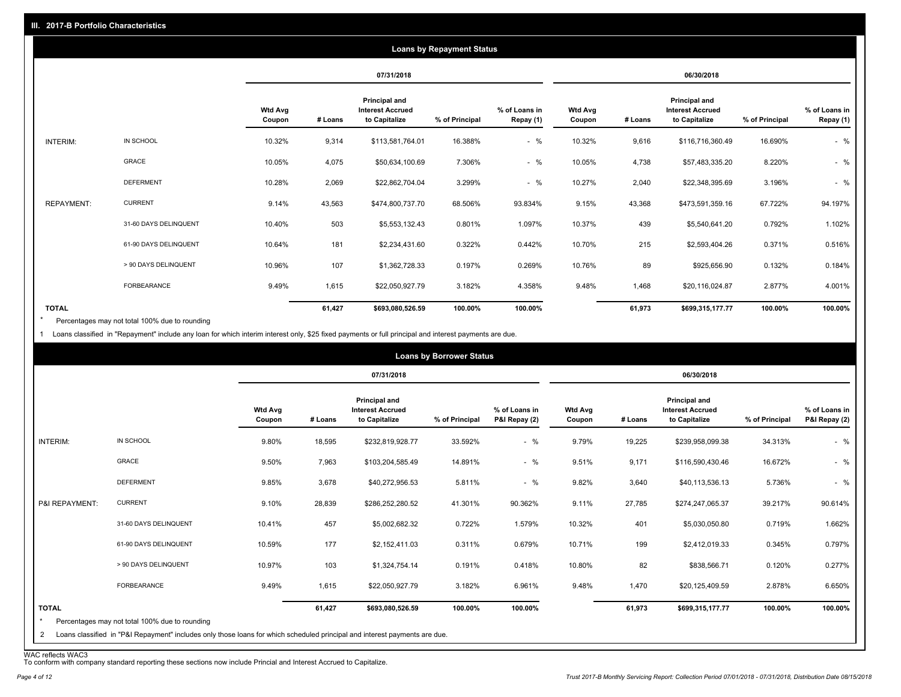|                   |                       |                          |         |                                                           | <b>Loans by Repayment Status</b> |                            |                          |         |                                                           |                |                            |
|-------------------|-----------------------|--------------------------|---------|-----------------------------------------------------------|----------------------------------|----------------------------|--------------------------|---------|-----------------------------------------------------------|----------------|----------------------------|
|                   |                       |                          |         | 07/31/2018                                                |                                  |                            |                          |         | 06/30/2018                                                |                |                            |
|                   |                       | <b>Wtd Avg</b><br>Coupon | # Loans | Principal and<br><b>Interest Accrued</b><br>to Capitalize | % of Principal                   | % of Loans in<br>Repay (1) | <b>Wtd Avg</b><br>Coupon | # Loans | Principal and<br><b>Interest Accrued</b><br>to Capitalize | % of Principal | % of Loans in<br>Repay (1) |
| INTERIM:          | IN SCHOOL             | 10.32%                   | 9,314   | \$113,581,764.01                                          | 16.388%                          | $-$ %                      | 10.32%                   | 9,616   | \$116,716,360.49                                          | 16.690%        | $-$ %                      |
|                   | GRACE                 | 10.05%                   | 4,075   | \$50,634,100.69                                           | 7.306%                           | $-$ %                      | 10.05%                   | 4,738   | \$57,483,335.20                                           | 8.220%         | $-$ %                      |
|                   | <b>DEFERMENT</b>      | 10.28%                   | 2,069   | \$22,862,704.04                                           | 3.299%                           | $-$ %                      | 10.27%                   | 2,040   | \$22,348,395.69                                           | 3.196%         | $-$ %                      |
| <b>REPAYMENT:</b> | <b>CURRENT</b>        | 9.14%                    | 43,563  | \$474,800,737.70                                          | 68.506%                          | 93.834%                    | 9.15%                    | 43,368  | \$473,591,359.16                                          | 67.722%        | 94.197%                    |
|                   | 31-60 DAYS DELINQUENT | 10.40%                   | 503     | \$5,553,132.43                                            | 0.801%                           | 1.097%                     | 10.37%                   | 439     | \$5,540,641.20                                            | 0.792%         | 1.102%                     |
|                   | 61-90 DAYS DELINQUENT | 10.64%                   | 181     | \$2,234,431.60                                            | 0.322%                           | 0.442%                     | 10.70%                   | 215     | \$2,593,404.26                                            | 0.371%         | 0.516%                     |
|                   | > 90 DAYS DELINQUENT  | 10.96%                   | 107     | \$1,362,728.33                                            | 0.197%                           | 0.269%                     | 10.76%                   | 89      | \$925,656.90                                              | 0.132%         | 0.184%                     |
|                   | <b>FORBEARANCE</b>    | 9.49%                    | 1,615   | \$22,050,927.79                                           | 3.182%                           | 4.358%                     | 9.48%                    | 1,468   | \$20,116,024.87                                           | 2.877%         | 4.001%                     |
| <b>TOTAL</b>      |                       |                          | 61,427  | \$693,080,526.59                                          | 100.00%                          | 100.00%                    |                          | 61,973  | \$699,315,177.77                                          | 100.00%        | 100.00%                    |

Percentages may not total 100% due to rounding \*

1 Loans classified in "Repayment" include any loan for which interim interest only, \$25 fixed payments or full principal and interest payments are due.

|                         |                                                                                                                            |                          |         |                                                           | <b>Loans by Borrower Status</b> |                                |                          |         |                                                           |                |                                |
|-------------------------|----------------------------------------------------------------------------------------------------------------------------|--------------------------|---------|-----------------------------------------------------------|---------------------------------|--------------------------------|--------------------------|---------|-----------------------------------------------------------|----------------|--------------------------------|
|                         |                                                                                                                            |                          |         | 07/31/2018                                                |                                 |                                |                          |         | 06/30/2018                                                |                |                                |
|                         |                                                                                                                            | <b>Wtd Avg</b><br>Coupon | # Loans | Principal and<br><b>Interest Accrued</b><br>to Capitalize | % of Principal                  | % of Loans in<br>P&I Repay (2) | <b>Wtd Avg</b><br>Coupon | # Loans | Principal and<br><b>Interest Accrued</b><br>to Capitalize | % of Principal | % of Loans in<br>P&I Repay (2) |
| INTERIM:                | IN SCHOOL                                                                                                                  | 9.80%                    | 18,595  | \$232,819,928.77                                          | 33.592%                         | $-$ %                          | 9.79%                    | 19,225  | \$239,958,099.38                                          | 34.313%        | $-$ %                          |
|                         | GRACE                                                                                                                      | 9.50%                    | 7,963   | \$103,204,585.49                                          | 14.891%                         | $-$ %                          | 9.51%                    | 9,171   | \$116,590,430.46                                          | 16.672%        | $-$ %                          |
|                         | <b>DEFERMENT</b>                                                                                                           | 9.85%                    | 3,678   | \$40,272,956.53                                           | 5.811%                          | $-$ %                          | 9.82%                    | 3,640   | \$40,113,536.13                                           | 5.736%         | $-$ %                          |
| P&I REPAYMENT:          | <b>CURRENT</b>                                                                                                             | 9.10%                    | 28,839  | \$286,252,280.52                                          | 41.301%                         | 90.362%                        | 9.11%                    | 27,785  | \$274,247,065.37                                          | 39.217%        | 90.614%                        |
|                         | 31-60 DAYS DELINQUENT                                                                                                      | 10.41%                   | 457     | \$5,002,682.32                                            | 0.722%                          | 1.579%                         | 10.32%                   | 401     | \$5,030,050.80                                            | 0.719%         | 1.662%                         |
|                         | 61-90 DAYS DELINQUENT                                                                                                      | 10.59%                   | 177     | \$2,152,411.03                                            | 0.311%                          | 0.679%                         | 10.71%                   | 199     | \$2,412,019.33                                            | 0.345%         | 0.797%                         |
|                         | > 90 DAYS DELINQUENT                                                                                                       | 10.97%                   | 103     | \$1,324,754.14                                            | 0.191%                          | 0.418%                         | 10.80%                   | 82      | \$838,566.71                                              | 0.120%         | 0.277%                         |
|                         | <b>FORBEARANCE</b>                                                                                                         | 9.49%                    | 1,615   | \$22,050,927.79                                           | 3.182%                          | 6.961%                         | 9.48%                    | 1,470   | \$20,125,409.59                                           | 2.878%         | 6.650%                         |
| <b>TOTAL</b><br>$\star$ | Percentages may not total 100% due to rounding                                                                             |                          | 61,427  | \$693,080,526.59                                          | 100.00%                         | 100.00%                        |                          | 61,973  | \$699,315,177.77                                          | 100.00%        | 100.00%                        |
| 2                       | Loans classified in "P&I Repayment" includes only those loans for which scheduled principal and interest payments are due. |                          |         |                                                           |                                 |                                |                          |         |                                                           |                |                                |

WAC reflects WAC3 To conform with company standard reporting these sections now include Princial and Interest Accrued to Capitalize.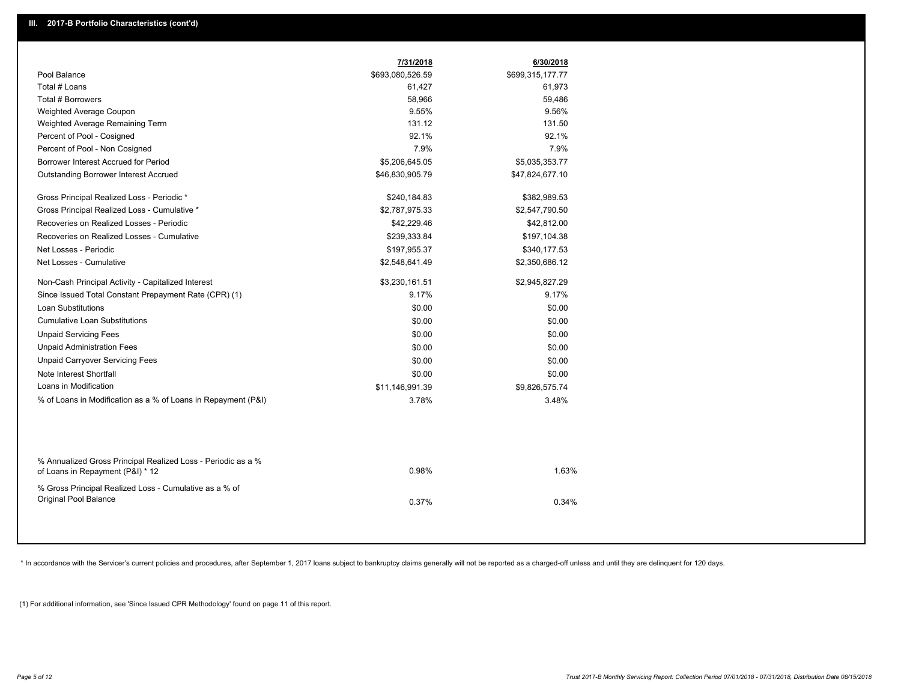|                                                                                                  | 7/31/2018        | 6/30/2018        |
|--------------------------------------------------------------------------------------------------|------------------|------------------|
| Pool Balance                                                                                     | \$693,080,526.59 | \$699,315,177.77 |
| Total # Loans                                                                                    | 61,427           | 61,973           |
| Total # Borrowers                                                                                | 58,966           | 59,486           |
| Weighted Average Coupon                                                                          | 9.55%            | 9.56%            |
| Weighted Average Remaining Term                                                                  | 131.12           | 131.50           |
| Percent of Pool - Cosigned                                                                       | 92.1%            | 92.1%            |
| Percent of Pool - Non Cosigned                                                                   | 7.9%             | 7.9%             |
| Borrower Interest Accrued for Period                                                             | \$5,206,645.05   | \$5,035,353.77   |
| <b>Outstanding Borrower Interest Accrued</b>                                                     | \$46,830,905.79  | \$47,824,677.10  |
| Gross Principal Realized Loss - Periodic *                                                       | \$240,184.83     | \$382,989.53     |
| Gross Principal Realized Loss - Cumulative *                                                     | \$2,787,975.33   | \$2,547,790.50   |
| Recoveries on Realized Losses - Periodic                                                         | \$42,229.46      | \$42,812.00      |
| Recoveries on Realized Losses - Cumulative                                                       | \$239,333.84     | \$197,104.38     |
| Net Losses - Periodic                                                                            | \$197,955.37     | \$340,177.53     |
| Net Losses - Cumulative                                                                          | \$2,548,641.49   | \$2,350,686.12   |
| Non-Cash Principal Activity - Capitalized Interest                                               | \$3,230,161.51   | \$2,945,827.29   |
| Since Issued Total Constant Prepayment Rate (CPR) (1)                                            | 9.17%            | 9.17%            |
| <b>Loan Substitutions</b>                                                                        | \$0.00           | \$0.00           |
| <b>Cumulative Loan Substitutions</b>                                                             | \$0.00           | \$0.00           |
| <b>Unpaid Servicing Fees</b>                                                                     | \$0.00           | \$0.00           |
| <b>Unpaid Administration Fees</b>                                                                | \$0.00           | \$0.00           |
| <b>Unpaid Carryover Servicing Fees</b>                                                           | \$0.00           | \$0.00           |
| Note Interest Shortfall                                                                          | \$0.00           | \$0.00           |
| Loans in Modification                                                                            | \$11,146,991.39  | \$9,826,575.74   |
| % of Loans in Modification as a % of Loans in Repayment (P&I)                                    | 3.78%            | 3.48%            |
|                                                                                                  |                  |                  |
| % Annualized Gross Principal Realized Loss - Periodic as a %<br>of Loans in Repayment (P&I) * 12 | 0.98%            | 1.63%            |
| % Gross Principal Realized Loss - Cumulative as a % of<br>Original Pool Balance                  | 0.37%            | 0.34%            |

\* In accordance with the Servicer's current policies and procedures, after September 1, 2017 loans subject to bankruptcy claims generally will not be reported as a charged-off unless and until they are delinquent for 120 d

(1) For additional information, see 'Since Issued CPR Methodology' found on page 11 of this report.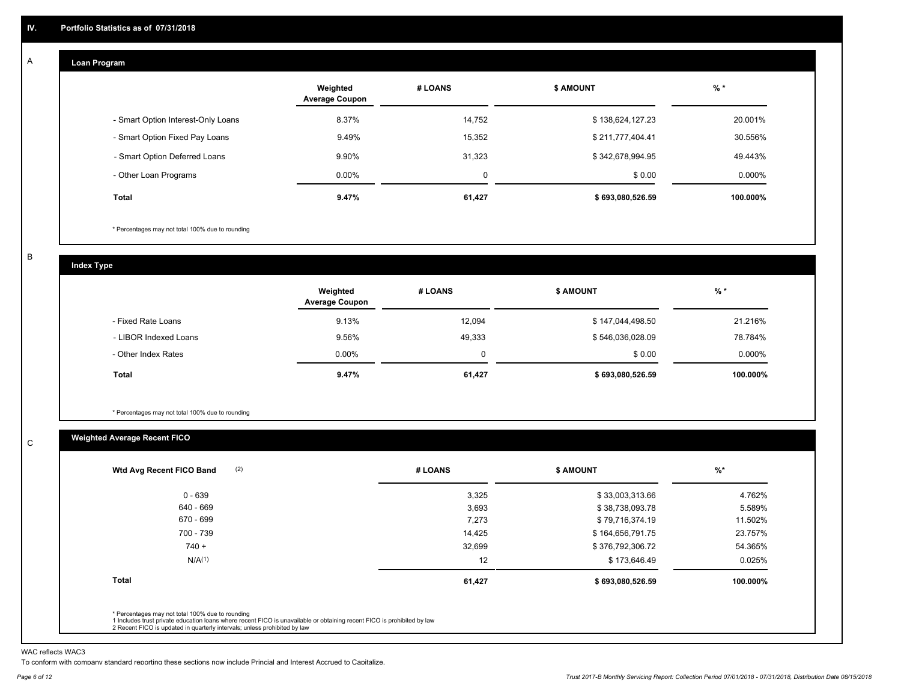#### **Loan Program**  A

|                                    | Weighted<br><b>Average Coupon</b> | # LOANS | <b>\$ AMOUNT</b> | $%$ *    |
|------------------------------------|-----------------------------------|---------|------------------|----------|
| - Smart Option Interest-Only Loans | 8.37%                             | 14,752  | \$138,624,127.23 | 20.001%  |
| - Smart Option Fixed Pay Loans     | 9.49%                             | 15,352  | \$211,777,404.41 | 30.556%  |
| - Smart Option Deferred Loans      | 9.90%                             | 31.323  | \$342,678,994.95 | 49.443%  |
| - Other Loan Programs              | $0.00\%$                          | 0       | \$0.00           | 0.000%   |
| Total                              | 9.47%                             | 61,427  | \$693,080,526.59 | 100.000% |

\* Percentages may not total 100% due to rounding

B

C

**Index Type**

|                       | Weighted<br><b>Average Coupon</b> | # LOANS | <b>S AMOUNT</b>  | $%$ *     |
|-----------------------|-----------------------------------|---------|------------------|-----------|
| - Fixed Rate Loans    | 9.13%                             | 12.094  | \$147,044,498.50 | 21.216%   |
| - LIBOR Indexed Loans | 9.56%                             | 49,333  | \$546,036,028.09 | 78.784%   |
| - Other Index Rates   | $0.00\%$                          |         | \$0.00           | $0.000\%$ |
| Total                 | 9.47%                             | 61,427  | \$693,080,526.59 | 100.000%  |

\* Percentages may not total 100% due to rounding

### **Weighted Average Recent FICO**

| 3,325<br>3,693<br>7,273<br>14,425 | \$33,003,313.66<br>\$38,738,093.78<br>\$79,716,374.19<br>\$164,656,791.75 | 4.762%<br>5.589%<br>11.502% |
|-----------------------------------|---------------------------------------------------------------------------|-----------------------------|
|                                   |                                                                           |                             |
|                                   |                                                                           |                             |
|                                   |                                                                           |                             |
|                                   |                                                                           | 23.757%                     |
| 32,699                            | \$376,792,306.72                                                          | 54.365%                     |
| 12                                | \$173,646.49                                                              | 0.025%                      |
| 61,427                            | \$693,080,526.59                                                          | 100.000%                    |
|                                   |                                                                           |                             |

WAC reflects WAC3

To conform with company standard reporting these sections now include Princial and Interest Accrued to Capitalize.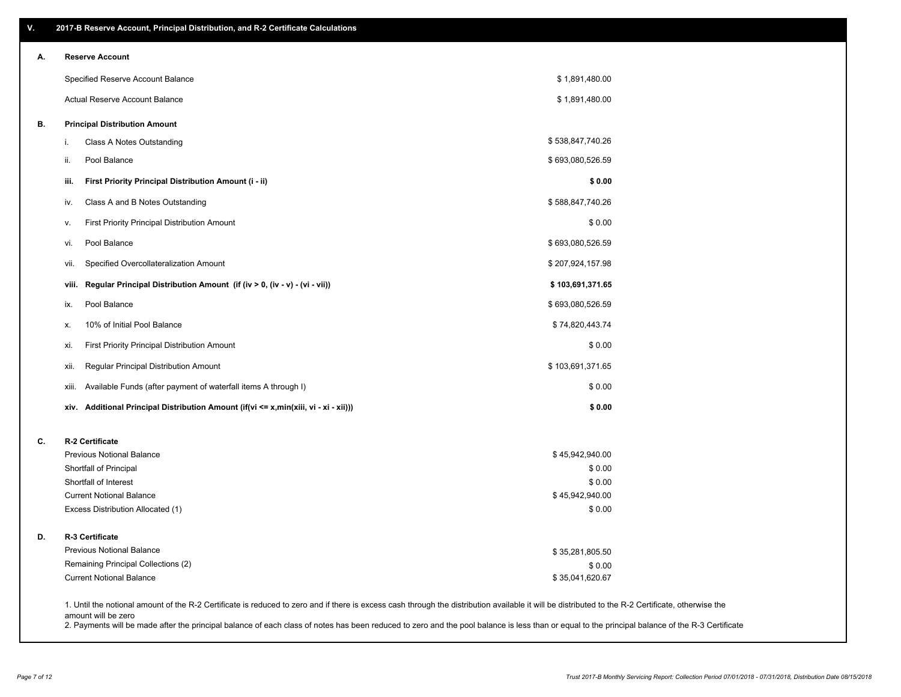| ۷. | 2017-B Reserve Account, Principal Distribution, and R-2 Certificate Calculations     |                                                                                                                                                                                                    |  |
|----|--------------------------------------------------------------------------------------|----------------------------------------------------------------------------------------------------------------------------------------------------------------------------------------------------|--|
| А. | <b>Reserve Account</b>                                                               |                                                                                                                                                                                                    |  |
|    | Specified Reserve Account Balance                                                    | \$1,891,480.00                                                                                                                                                                                     |  |
|    | <b>Actual Reserve Account Balance</b>                                                | \$1,891,480.00                                                                                                                                                                                     |  |
| В. | <b>Principal Distribution Amount</b>                                                 |                                                                                                                                                                                                    |  |
|    | Class A Notes Outstanding<br>i.                                                      | \$538,847,740.26                                                                                                                                                                                   |  |
|    | Pool Balance<br>ii.                                                                  | \$693,080,526.59                                                                                                                                                                                   |  |
|    | First Priority Principal Distribution Amount (i - ii)<br>iii.                        | \$0.00                                                                                                                                                                                             |  |
|    | Class A and B Notes Outstanding<br>iv.                                               | \$588,847,740.26                                                                                                                                                                                   |  |
|    | First Priority Principal Distribution Amount<br>v.                                   | \$0.00                                                                                                                                                                                             |  |
|    | Pool Balance<br>vi.                                                                  | \$693,080,526.59                                                                                                                                                                                   |  |
|    | Specified Overcollateralization Amount<br>vii.                                       | \$207,924,157.98                                                                                                                                                                                   |  |
|    | Regular Principal Distribution Amount (if (iv > 0, (iv - v) - (vi - vii))<br>viii.   | \$103,691,371.65                                                                                                                                                                                   |  |
|    | Pool Balance<br>ix.                                                                  | \$693,080,526.59                                                                                                                                                                                   |  |
|    | 10% of Initial Pool Balance<br>х.                                                    | \$74,820,443.74                                                                                                                                                                                    |  |
|    | First Priority Principal Distribution Amount<br>xi.                                  | \$0.00                                                                                                                                                                                             |  |
|    | Regular Principal Distribution Amount<br>xii.                                        | \$103,691,371.65                                                                                                                                                                                   |  |
|    | Available Funds (after payment of waterfall items A through I)<br>xiii.              | \$0.00                                                                                                                                                                                             |  |
|    | xiv. Additional Principal Distribution Amount (if(vi <= x,min(xiii, vi - xi - xii))) | \$0.00                                                                                                                                                                                             |  |
| C. | R-2 Certificate                                                                      |                                                                                                                                                                                                    |  |
|    | <b>Previous Notional Balance</b>                                                     | \$45,942,940.00                                                                                                                                                                                    |  |
|    | Shortfall of Principal                                                               | \$0.00                                                                                                                                                                                             |  |
|    | Shortfall of Interest                                                                | \$0.00                                                                                                                                                                                             |  |
|    | <b>Current Notional Balance</b>                                                      | \$45,942,940.00                                                                                                                                                                                    |  |
|    | Excess Distribution Allocated (1)                                                    | \$0.00                                                                                                                                                                                             |  |
| D. | R-3 Certificate                                                                      |                                                                                                                                                                                                    |  |
|    | <b>Previous Notional Balance</b>                                                     | \$35,281,805.50                                                                                                                                                                                    |  |
|    | Remaining Principal Collections (2)                                                  | \$0.00                                                                                                                                                                                             |  |
|    | <b>Current Notional Balance</b>                                                      | \$35,041,620.67                                                                                                                                                                                    |  |
|    | amount will be zero                                                                  | 1. Until the notional amount of the R-2 Certificate is reduced to zero and if there is excess cash through the distribution available it will be distributed to the R-2 Certificate, otherwise the |  |

2. Payments will be made after the principal balance of each class of notes has been reduced to zero and the pool balance is less than or equal to the principal balance of the R-3 Certificate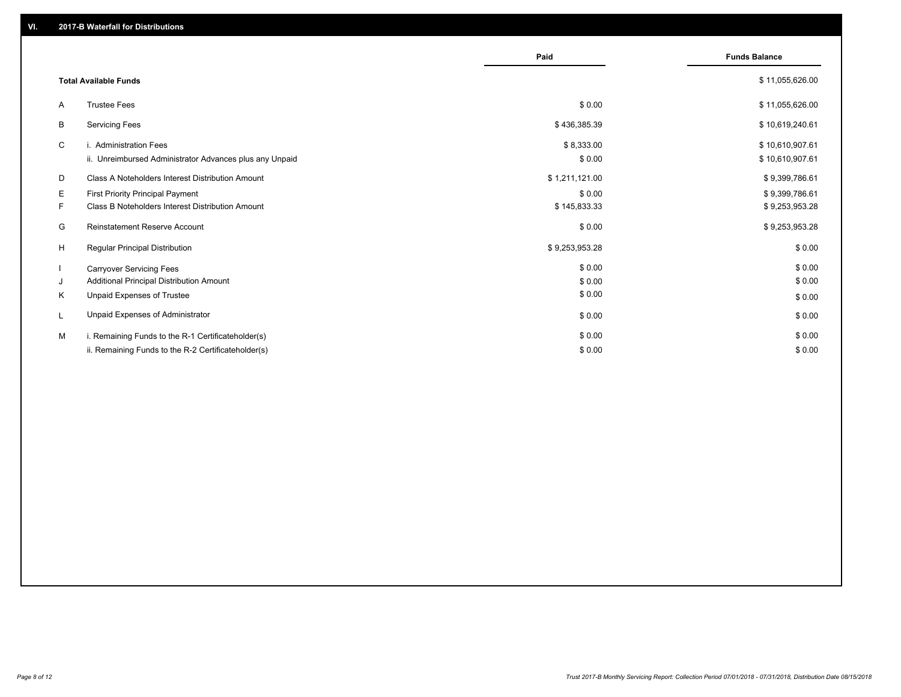|    |                                                         |                | <b>Funds Balance</b> |
|----|---------------------------------------------------------|----------------|----------------------|
|    |                                                         | Paid           |                      |
|    | <b>Total Available Funds</b>                            |                | \$11,055,626.00      |
| A  | <b>Trustee Fees</b>                                     | \$0.00         | \$11,055,626.00      |
| В  | <b>Servicing Fees</b>                                   | \$436,385.39   | \$10,619,240.61      |
| C  | i. Administration Fees                                  | \$8,333.00     | \$10,610,907.61      |
|    | ii. Unreimbursed Administrator Advances plus any Unpaid | \$0.00         | \$10,610,907.61      |
| D  | Class A Noteholders Interest Distribution Amount        | \$1,211,121.00 | \$9,399,786.61       |
| Е  | First Priority Principal Payment                        | \$0.00         | \$9,399,786.61       |
| F. | Class B Noteholders Interest Distribution Amount        | \$145,833.33   | \$9,253,953.28       |
| G  | <b>Reinstatement Reserve Account</b>                    | \$0.00         | \$9,253,953.28       |
| H  | Regular Principal Distribution                          | \$9,253,953.28 | \$0.00               |
|    | <b>Carryover Servicing Fees</b>                         | \$0.00         | \$0.00               |
| J  | Additional Principal Distribution Amount                | \$0.00         | \$0.00               |
| Κ  | Unpaid Expenses of Trustee                              | \$0.00         | \$0.00               |
| L  | Unpaid Expenses of Administrator                        | \$0.00         | \$0.00               |
| M  | i. Remaining Funds to the R-1 Certificateholder(s)      | \$0.00         | \$0.00               |
|    | ii. Remaining Funds to the R-2 Certificateholder(s)     | \$0.00         | \$0.00               |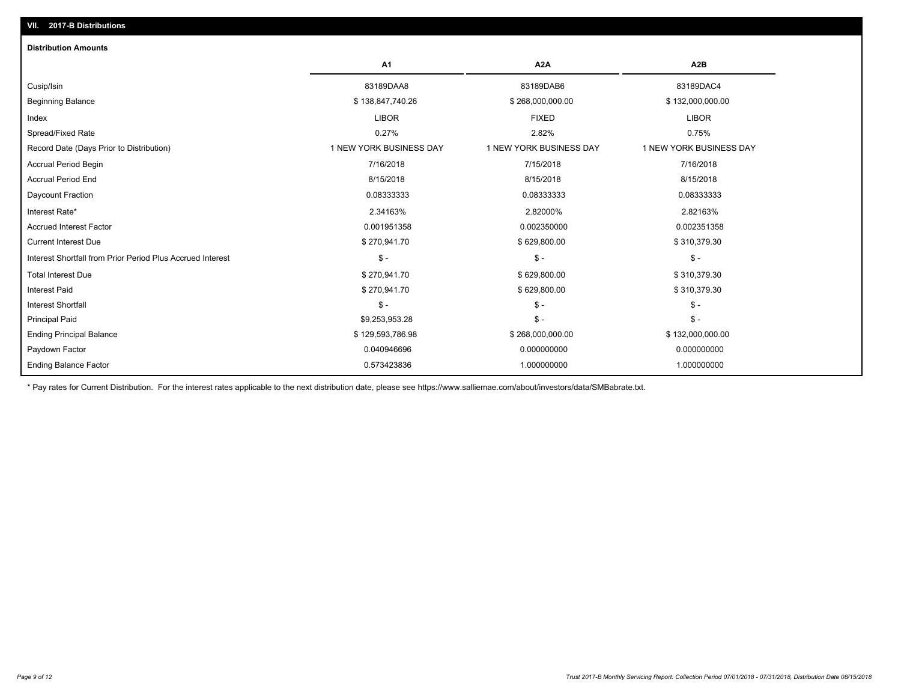| <b>Distribution Amounts</b>                                |                         |                         |                         |
|------------------------------------------------------------|-------------------------|-------------------------|-------------------------|
|                                                            | A <sub>1</sub>          | A <sub>2</sub> A        | A2B                     |
| Cusip/Isin                                                 | 83189DAA8               | 83189DAB6               | 83189DAC4               |
| <b>Beginning Balance</b>                                   | \$138,847,740.26        | \$268,000,000.00        | \$132,000,000.00        |
| Index                                                      | <b>LIBOR</b>            | <b>FIXED</b>            | <b>LIBOR</b>            |
| Spread/Fixed Rate                                          | 0.27%                   | 2.82%                   | 0.75%                   |
| Record Date (Days Prior to Distribution)                   | 1 NEW YORK BUSINESS DAY | 1 NEW YORK BUSINESS DAY | 1 NEW YORK BUSINESS DAY |
| <b>Accrual Period Begin</b>                                | 7/16/2018               | 7/15/2018               | 7/16/2018               |
| <b>Accrual Period End</b>                                  | 8/15/2018               | 8/15/2018               | 8/15/2018               |
| Daycount Fraction                                          | 0.08333333              | 0.08333333              | 0.08333333              |
| Interest Rate*                                             | 2.34163%                | 2.82000%                | 2.82163%                |
| <b>Accrued Interest Factor</b>                             | 0.001951358             | 0.002350000             | 0.002351358             |
| <b>Current Interest Due</b>                                | \$270,941.70            | \$629,800.00            | \$310,379.30            |
| Interest Shortfall from Prior Period Plus Accrued Interest | $\mathsf{\$}$ -         | $\mathsf{\$}$ -         | $\mathsf{\$}$ -         |
| <b>Total Interest Due</b>                                  | \$270,941.70            | \$629,800.00            | \$310,379.30            |
| <b>Interest Paid</b>                                       | \$270,941.70            | \$629,800.00            | \$310,379.30            |
| <b>Interest Shortfall</b>                                  | $S -$                   | $\frac{2}{3}$ -         | $\mathsf{\$}$ -         |
| Principal Paid                                             | \$9,253,953.28          | $\frac{2}{3}$ -         | $\frac{2}{3}$ -         |
| <b>Ending Principal Balance</b>                            | \$129,593,786.98        | \$268,000,000.00        | \$132,000,000.00        |
| Paydown Factor                                             | 0.040946696             | 0.000000000             | 0.000000000             |
| <b>Ending Balance Factor</b>                               | 0.573423836             | 1.000000000             | 1.000000000             |

\* Pay rates for Current Distribution. For the interest rates applicable to the next distribution date, please see https://www.salliemae.com/about/investors/data/SMBabrate.txt.

**VII. 2017-B Distributions**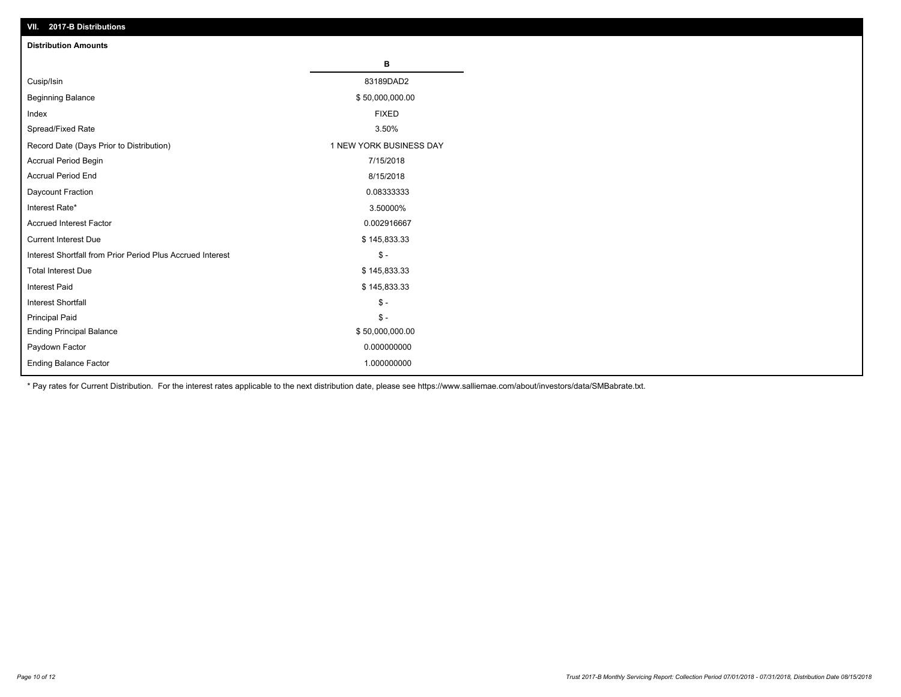| VII. 2017-B Distributions                                  |                         |
|------------------------------------------------------------|-------------------------|
| <b>Distribution Amounts</b>                                |                         |
|                                                            | в                       |
| Cusip/Isin                                                 | 83189DAD2               |
| <b>Beginning Balance</b>                                   | \$50,000,000.00         |
| Index                                                      | <b>FIXED</b>            |
| Spread/Fixed Rate                                          | 3.50%                   |
| Record Date (Days Prior to Distribution)                   | 1 NEW YORK BUSINESS DAY |
| Accrual Period Begin                                       | 7/15/2018               |
| <b>Accrual Period End</b>                                  | 8/15/2018               |
| Daycount Fraction                                          | 0.08333333              |
| Interest Rate*                                             | 3.50000%                |
| <b>Accrued Interest Factor</b>                             | 0.002916667             |
| <b>Current Interest Due</b>                                | \$145,833.33            |
| Interest Shortfall from Prior Period Plus Accrued Interest | $\mathsf{\$}$ -         |
| <b>Total Interest Due</b>                                  | \$145,833.33            |
| <b>Interest Paid</b>                                       | \$145,833.33            |
| <b>Interest Shortfall</b>                                  | $\mathsf{\$}$ -         |
| <b>Principal Paid</b>                                      | $\mathbb{S}$ -          |
| <b>Ending Principal Balance</b>                            | \$50,000,000.00         |
| Paydown Factor                                             | 0.000000000             |
| Ending Balance Factor                                      | 1.000000000             |

\* Pay rates for Current Distribution. For the interest rates applicable to the next distribution date, please see https://www.salliemae.com/about/investors/data/SMBabrate.txt.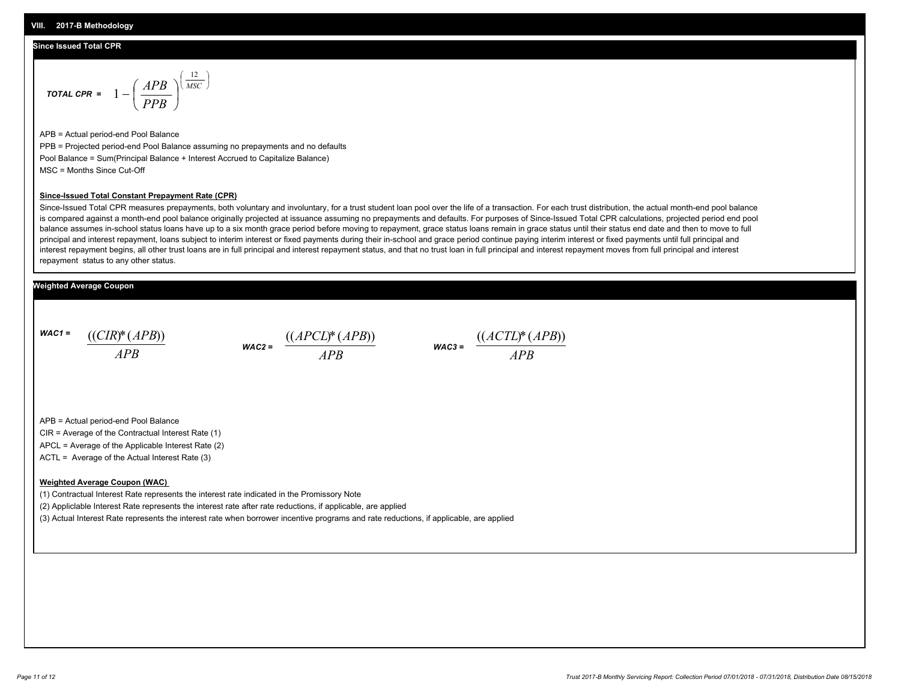#### **Since Issued Total CPR**

$$
\text{total CPR} = 1 - \left(\frac{APB}{PPB}\right)^{\left(\frac{12}{MSC}\right)}
$$

APB = Actual period-end Pool Balance PPB = Projected period-end Pool Balance assuming no prepayments and no defaults Pool Balance = Sum(Principal Balance + Interest Accrued to Capitalize Balance) MSC = Months Since Cut-Off

#### **Since-Issued Total Constant Prepayment Rate (CPR)**

Since-Issued Total CPR measures prepayments, both voluntary and involuntary, for a trust student loan pool over the life of a transaction. For each trust distribution, the actual month-end pool balance is compared against a month-end pool balance originally projected at issuance assuming no prepayments and defaults. For purposes of Since-Issued Total CPR calculations, projected period end pool balance assumes in-school status loans have up to a six month grace period before moving to repayment, grace status loans remain in grace status until their status end date and then to move to full principal and interest repayment, loans subject to interim interest or fixed payments during their in-school and grace period continue paying interim interest or fixed payments until full principal and interest repayment begins, all other trust loans are in full principal and interest repayment status, and that no trust loan in full principal and interest repayment moves from full principal and interest repayment status to any other status.

#### **Weighted Average Coupon**

*WAC1 = APB* ((*CIR*)\*(*APB*))

*WAC2 = APB*



APB = Actual period-end Pool Balance

CIR = Average of the Contractual Interest Rate (1)

APCL = Average of the Applicable Interest Rate (2)

ACTL = Average of the Actual Interest Rate (3)

#### **Weighted Average Coupon (WAC)**

(1) Contractual Interest Rate represents the interest rate indicated in the Promissory Note

(2) Appliclable Interest Rate represents the interest rate after rate reductions, if applicable, are applied

(3) Actual Interest Rate represents the interest rate when borrower incentive programs and rate reductions, if applicable, are applied